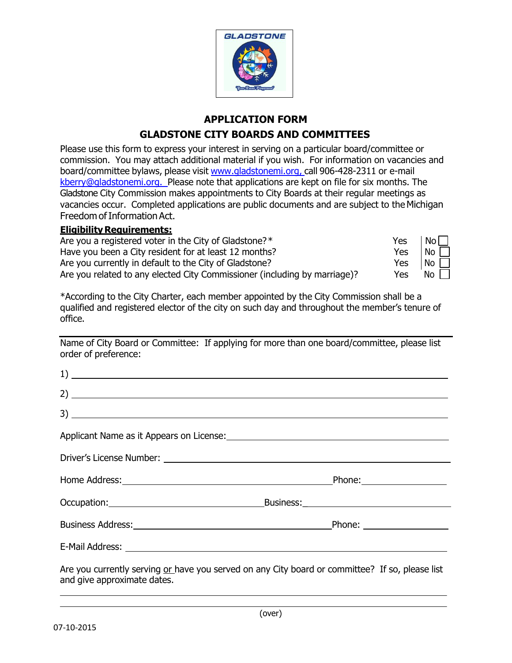

## **APPLICATION FORM GLADSTONE CITY BOARDS AND COMMITTEES**

Please use this form to express your interest in serving on a particular board/committee or commission. You may attach additional material if you wish. For information on vacancies and board/committee bylaws, please visit www.gladstonemi.org, call 906-428-2311 or e-mail [kberry@gladstonemi.org.](mailto:kberry@gladstonemi.org.) Please note that applications are kept on file for six months. The Gladstone City Commission makes appointments to City Boards at their regular meetings as vacancies occur. Completed applications are public documents and are subject to theMichigan Freedom of Information Act.

## **Eligibility Requirements:**

| Are you a registered voter in the City of Gladstone?*                     | Yes        | No <sub>1</sub> |
|---------------------------------------------------------------------------|------------|-----------------|
| Have you been a City resident for at least 12 months?                     | Yes        | No              |
| Are you currently in default to the City of Gladstone?                    | <b>Yes</b> | $'$ No $_1$     |
| Are you related to any elected City Commissioner (including by marriage)? | Yes        | No.             |

\*According to the City Charter, each member appointed by the City Commission shall be a qualified and registered elector of the city on such day and throughout the member's tenure of office.

Name of City Board or Committee: If applying for more than one board/committee, please list order of preference:

| $\frac{1}{2}$                                                                                   |  |  |  |
|-------------------------------------------------------------------------------------------------|--|--|--|
|                                                                                                 |  |  |  |
|                                                                                                 |  |  |  |
|                                                                                                 |  |  |  |
|                                                                                                 |  |  |  |
|                                                                                                 |  |  |  |
| Occupation: Business: Business:                                                                 |  |  |  |
|                                                                                                 |  |  |  |
|                                                                                                 |  |  |  |
| Are you currently serving or have you served on any City board or committee? If so, please list |  |  |  |

and give approximate dates.